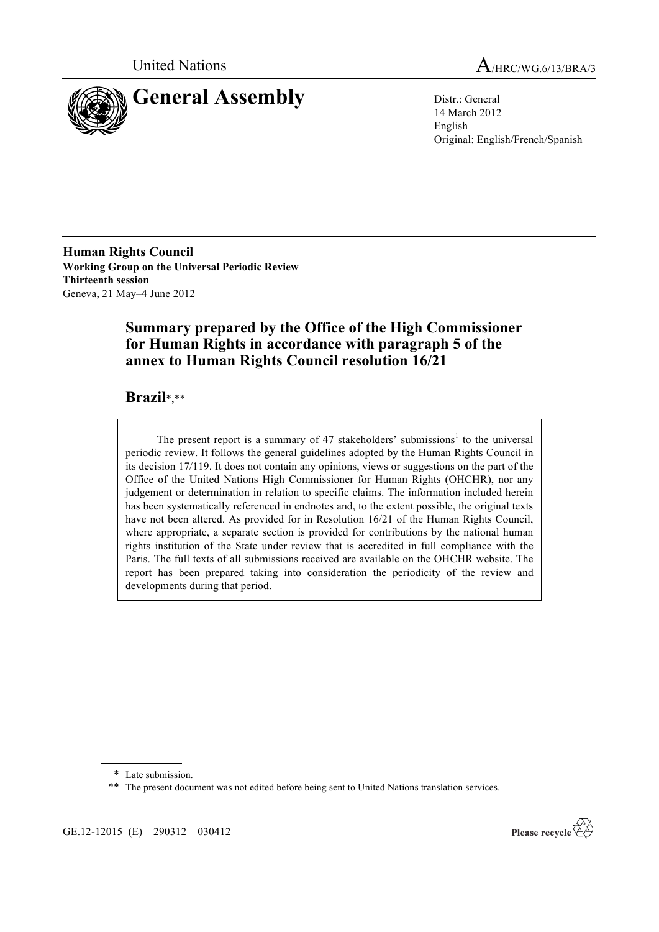



14 March 2012 English Original: English/French/Spanish

**Human Rights Council Working Group on the Universal Periodic Review Thirteenth session** Geneva, 21 May–4 June 2012

# **Summary prepared by the Office of the High Commissioner for Human Rights in accordance with paragraph 5 of the annex to Human Rights Council resolution 16/21**

## **Brazil**\*,\*\*

The present report is a summary of 47 stakeholders' submissions<sup>1</sup> to the universal periodic review. It follows the general guidelines adopted by the Human Rights Council in its decision 17/119. It does not contain any opinions, views or suggestions on the part of the Office of the United Nations High Commissioner for Human Rights (OHCHR), nor any judgement or determination in relation to specific claims. The information included herein has been systematically referenced in endnotes and, to the extent possible, the original texts have not been altered. As provided for in Resolution 16/21 of the Human Rights Council, where appropriate, a separate section is provided for contributions by the national human rights institution of the State under review that is accredited in full compliance with the Paris. The full texts of all submissions received are available on the OHCHR website. The report has been prepared taking into consideration the periodicity of the review and developments during that period.

GE.12-12015 (E) 290312 030412



<sup>\*</sup> Late submission.

<sup>\*\*</sup> The present document was not edited before being sent to United Nations translation services.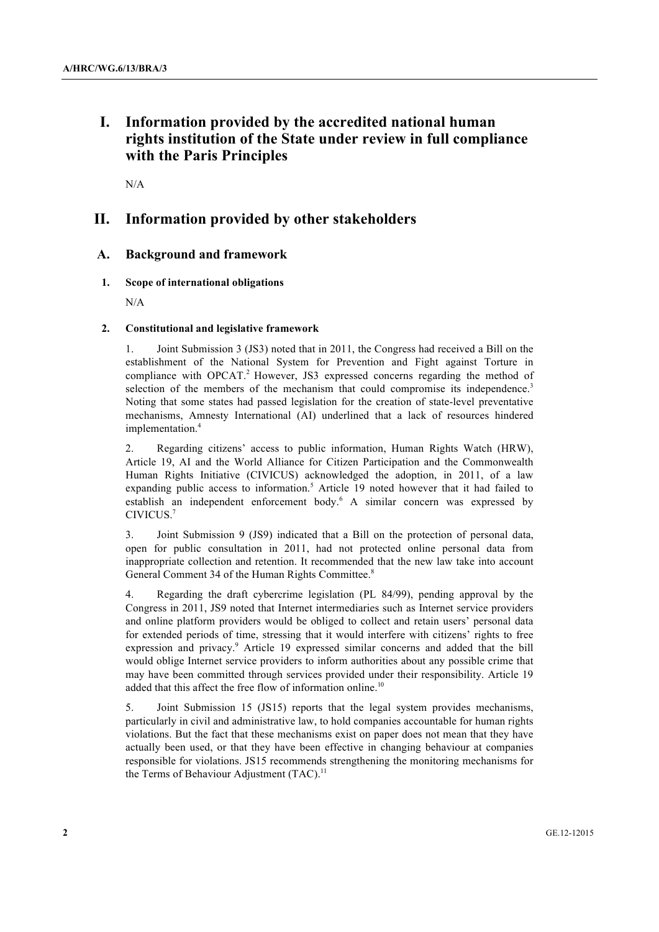# **I. Information provided by the accredited national human rights institution of the State under review in full compliance with the Paris Principles**

N/A

## **II. Information provided by other stakeholders**

## **A. Background and framework**

## **1. Scope of international obligations**

N/A

## **2. Constitutional and legislative framework**

1. Joint Submission 3 (JS3) noted that in 2011, the Congress had received a Bill on the establishment of the National System for Prevention and Fight against Torture in compliance with OPCAT.<sup>2</sup> However, JS3 expressed concerns regarding the method of selection of the members of the mechanism that could compromise its independence.<sup>3</sup> Noting that some states had passed legislation for the creation of state-level preventative mechanisms, Amnesty International (AI) underlined that a lack of resources hindered implementation.<sup>4</sup>

2. Regarding citizens' access to public information, Human Rights Watch (HRW), Article 19, AI and the World Alliance for Citizen Participation and the Commonwealth Human Rights Initiative (CIVICUS) acknowledged the adoption, in 2011, of a law expanding public access to information.<sup>5</sup> Article 19 noted however that it had failed to establish an independent enforcement body.<sup>6</sup> A similar concern was expressed by CIVICUS.7

3. Joint Submission 9 (JS9) indicated that a Bill on the protection of personal data, open for public consultation in 2011, had not protected online personal data from inappropriate collection and retention. It recommended that the new law take into account General Comment 34 of the Human Rights Committee.<sup>8</sup>

4. Regarding the draft cybercrime legislation (PL 84/99), pending approval by the Congress in 2011, JS9 noted that Internet intermediaries such as Internet service providers and online platform providers would be obliged to collect and retain users' personal data for extended periods of time, stressing that it would interfere with citizens' rights to free expression and privacy.<sup>9</sup> Article 19 expressed similar concerns and added that the bill would oblige Internet service providers to inform authorities about any possible crime that may have been committed through services provided under their responsibility. Article 19 added that this affect the free flow of information online.<sup>10</sup>

5. Joint Submission 15 (JS15) reports that the legal system provides mechanisms, particularly in civil and administrative law, to hold companies accountable for human rights violations. But the fact that these mechanisms exist on paper does not mean that they have actually been used, or that they have been effective in changing behaviour at companies responsible for violations. JS15 recommends strengthening the monitoring mechanisms for the Terms of Behaviour Adjustment  $(TAC)^{11}$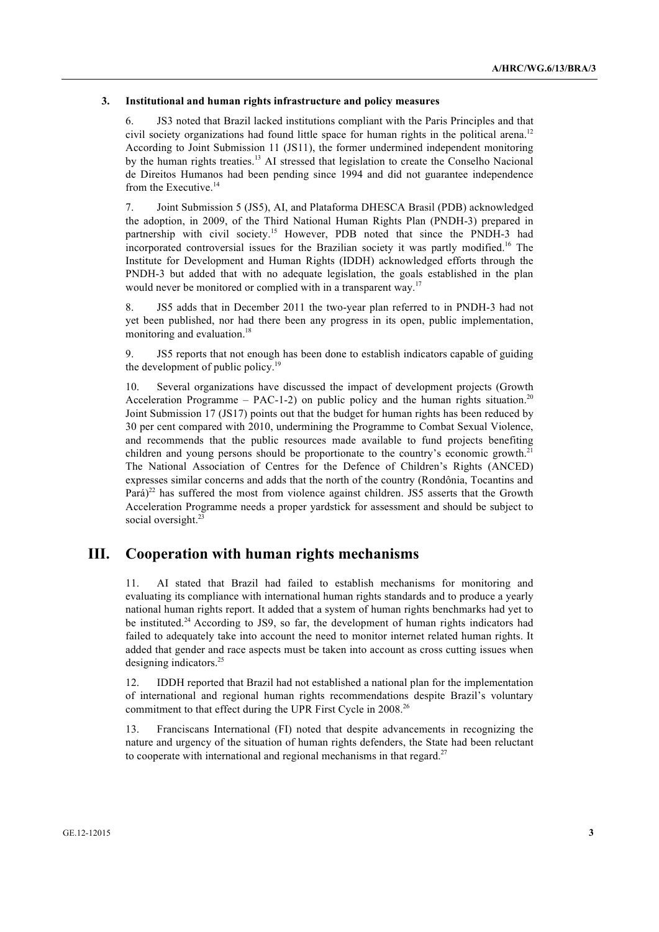#### **3. Institutional and human rights infrastructure and policy measures**

6. JS3 noted that Brazil lacked institutions compliant with the Paris Principles and that civil society organizations had found little space for human rights in the political arena.<sup>12</sup> According to Joint Submission 11 (JS11), the former undermined independent monitoring by the human rights treaties.<sup>13</sup> AI stressed that legislation to create the Conselho Nacional de Direitos Humanos had been pending since 1994 and did not guarantee independence from the Executive.<sup>14</sup>

7. Joint Submission 5 (JS5), AI, and Plataforma DHESCA Brasil (PDB) acknowledged the adoption, in 2009, of the Third National Human Rights Plan (PNDH-3) prepared in partnership with civil society.<sup>15</sup> However, PDB noted that since the PNDH-3 had incorporated controversial issues for the Brazilian society it was partly modified.16 The Institute for Development and Human Rights (IDDH) acknowledged efforts through the PNDH-3 but added that with no adequate legislation, the goals established in the plan would never be monitored or complied with in a transparent way.<sup>17</sup>

8. JS5 adds that in December 2011 the two-year plan referred to in PNDH-3 had not yet been published, nor had there been any progress in its open, public implementation, monitoring and evaluation.<sup>18</sup>

9. JS5 reports that not enough has been done to establish indicators capable of guiding the development of public policy.<sup>19</sup>

10. Several organizations have discussed the impact of development projects (Growth Acceleration Programme – PAC-1-2) on public policy and the human rights situation.<sup>20</sup> Joint Submission 17 (JS17) points out that the budget for human rights has been reduced by 30 per cent compared with 2010, undermining the Programme to Combat Sexual Violence, and recommends that the public resources made available to fund projects benefiting children and young persons should be proportionate to the country's economic growth.<sup>21</sup> The National Association of Centres for the Defence of Children's Rights (ANCED) expresses similar concerns and adds that the north of the country (Rondônia, Tocantins and Pará)<sup>22</sup> has suffered the most from violence against children. JS5 asserts that the Growth Acceleration Programme needs a proper yardstick for assessment and should be subject to social oversight.<sup>27</sup>

## **III. Cooperation with human rights mechanisms**

11. AI stated that Brazil had failed to establish mechanisms for monitoring and evaluating its compliance with international human rights standards and to produce a yearly national human rights report. It added that a system of human rights benchmarks had yet to be instituted.<sup>24</sup> According to JS9, so far, the development of human rights indicators had failed to adequately take into account the need to monitor internet related human rights. It added that gender and race aspects must be taken into account as cross cutting issues when designing indicators.<sup>25</sup>

12. IDDH reported that Brazil had not established a national plan for the implementation of international and regional human rights recommendations despite Brazil's voluntary commitment to that effect during the UPR First Cycle in 2008.<sup>26</sup>

13. Franciscans International (FI) noted that despite advancements in recognizing the nature and urgency of the situation of human rights defenders, the State had been reluctant to cooperate with international and regional mechanisms in that regard.<sup>27</sup>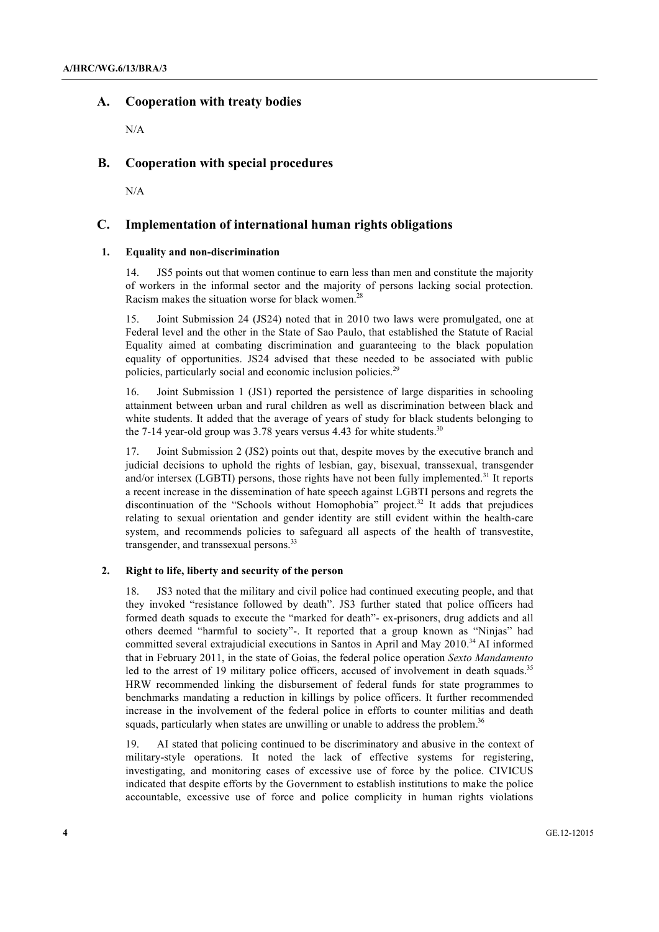## **A. Cooperation with treaty bodies**

N/A

### **B. Cooperation with special procedures**

N/A

## **C. Implementation of international human rights obligations**

### **1. Equality and non-discrimination**

14. JS5 points out that women continue to earn less than men and constitute the majority of workers in the informal sector and the majority of persons lacking social protection. Racism makes the situation worse for black women.<sup>2</sup>

15. Joint Submission 24 (JS24) noted that in 2010 two laws were promulgated, one at Federal level and the other in the State of Sao Paulo, that established the Statute of Racial Equality aimed at combating discrimination and guaranteeing to the black population equality of opportunities. JS24 advised that these needed to be associated with public policies, particularly social and economic inclusion policies.<sup>29</sup>

16. Joint Submission 1 (JS1) reported the persistence of large disparities in schooling attainment between urban and rural children as well as discrimination between black and white students. It added that the average of years of study for black students belonging to the 7-14 year-old group was  $3.78$  years versus 4.43 for white students.<sup>30</sup>

17. Joint Submission 2 (JS2) points out that, despite moves by the executive branch and judicial decisions to uphold the rights of lesbian, gay, bisexual, transsexual, transgender and/or intersex (LGBTI) persons, those rights have not been fully implemented.<sup>31</sup> It reports a recent increase in the dissemination of hate speech against LGBTI persons and regrets the discontinuation of the "Schools without Homophobia" project.<sup>32</sup> It adds that prejudices relating to sexual orientation and gender identity are still evident within the health-care system, and recommends policies to safeguard all aspects of the health of transvestite, transgender, and transsexual persons.<sup>33</sup>

#### **2. Right to life, liberty and security of the person**

18. JS3 noted that the military and civil police had continued executing people, and that they invoked "resistance followed by death". JS3 further stated that police officers had formed death squads to execute the "marked for death"- ex-prisoners, drug addicts and all others deemed "harmful to society"-. It reported that a group known as "Ninjas" had committed several extrajudicial executions in Santos in April and May 2010.<sup>34</sup> AI informed that in February 2011, in the state of Goias, the federal police operation *Sexto Mandamento* led to the arrest of 19 military police officers, accused of involvement in death squads.<sup>35</sup> HRW recommended linking the disbursement of federal funds for state programmes to benchmarks mandating a reduction in killings by police officers. It further recommended increase in the involvement of the federal police in efforts to counter militias and death squads, particularly when states are unwilling or unable to address the problem.<sup>36</sup>

19. AI stated that policing continued to be discriminatory and abusive in the context of military-style operations. It noted the lack of effective systems for registering, investigating, and monitoring cases of excessive use of force by the police. CIVICUS indicated that despite efforts by the Government to establish institutions to make the police accountable, excessive use of force and police complicity in human rights violations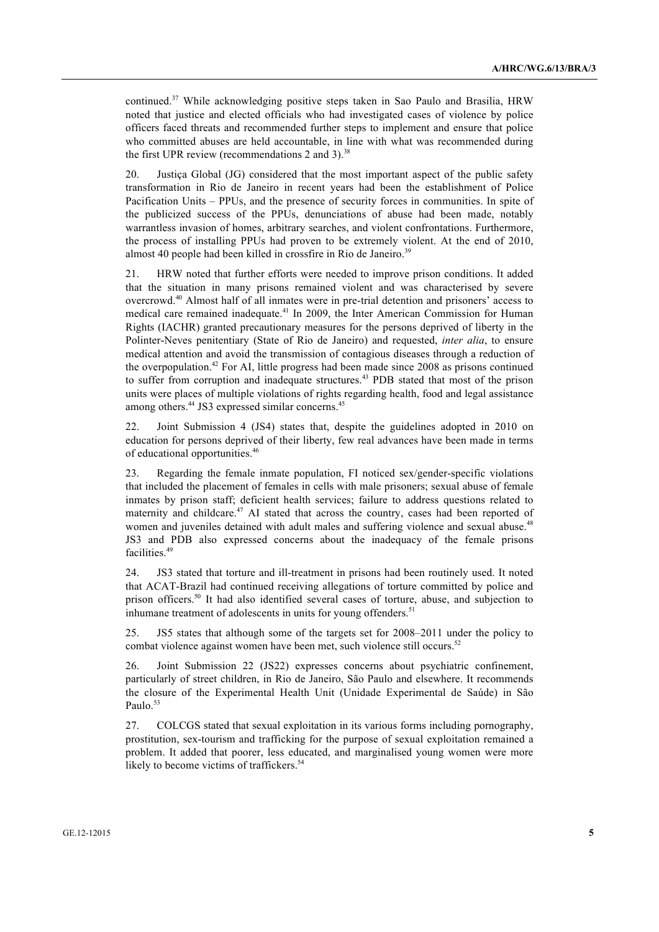continued.37 While acknowledging positive steps taken in Sao Paulo and Brasilia, HRW noted that justice and elected officials who had investigated cases of violence by police officers faced threats and recommended further steps to implement and ensure that police who committed abuses are held accountable, in line with what was recommended during the first UPR review (recommendations 2 and 3). $38$ 

20. Justiça Global (JG) considered that the most important aspect of the public safety transformation in Rio de Janeiro in recent years had been the establishment of Police Pacification Units – PPUs, and the presence of security forces in communities. In spite of the publicized success of the PPUs, denunciations of abuse had been made, notably warrantless invasion of homes, arbitrary searches, and violent confrontations. Furthermore, the process of installing PPUs had proven to be extremely violent. At the end of 2010, almost 40 people had been killed in crossfire in Rio de Janeiro.<sup>39</sup>

21. HRW noted that further efforts were needed to improve prison conditions. It added that the situation in many prisons remained violent and was characterised by severe overcrowd.40 Almost half of all inmates were in pre-trial detention and prisoners' access to medical care remained inadequate.41 In 2009, the Inter American Commission for Human Rights (IACHR) granted precautionary measures for the persons deprived of liberty in the Polinter-Neves penitentiary (State of Rio de Janeiro) and requested, *inter alia*, to ensure medical attention and avoid the transmission of contagious diseases through a reduction of the overpopulation.<sup>42</sup> For AI, little progress had been made since 2008 as prisons continued to suffer from corruption and inadequate structures.<sup>43</sup> PDB stated that most of the prison units were places of multiple violations of rights regarding health, food and legal assistance among others.<sup>44</sup> JS3 expressed similar concerns.<sup>45</sup>

22. Joint Submission 4 (JS4) states that, despite the guidelines adopted in 2010 on education for persons deprived of their liberty, few real advances have been made in terms of educational opportunities.<sup>46</sup>

23. Regarding the female inmate population, FI noticed sex/gender-specific violations that included the placement of females in cells with male prisoners; sexual abuse of female inmates by prison staff; deficient health services; failure to address questions related to maternity and childcare.<sup>47</sup> AI stated that across the country, cases had been reported of women and juveniles detained with adult males and suffering violence and sexual abuse.<sup>48</sup> JS3 and PDB also expressed concerns about the inadequacy of the female prisons facilities.<sup>49</sup>

24. JS3 stated that torture and ill-treatment in prisons had been routinely used. It noted that ACAT-Brazil had continued receiving allegations of torture committed by police and prison officers.<sup>50</sup> It had also identified several cases of torture, abuse, and subjection to inhumane treatment of adolescents in units for young offenders.<sup>51</sup>

25. JS5 states that although some of the targets set for 2008–2011 under the policy to combat violence against women have been met, such violence still occurs.<sup>52</sup>

26. Joint Submission 22 (JS22) expresses concerns about psychiatric confinement, particularly of street children, in Rio de Janeiro, São Paulo and elsewhere. It recommends the closure of the Experimental Health Unit (Unidade Experimental de Saúde) in São Paulo.<sup>53</sup>

27. COLCGS stated that sexual exploitation in its various forms including pornography, prostitution, sex-tourism and trafficking for the purpose of sexual exploitation remained a problem. It added that poorer, less educated, and marginalised young women were more likely to become victims of traffickers.<sup>54</sup>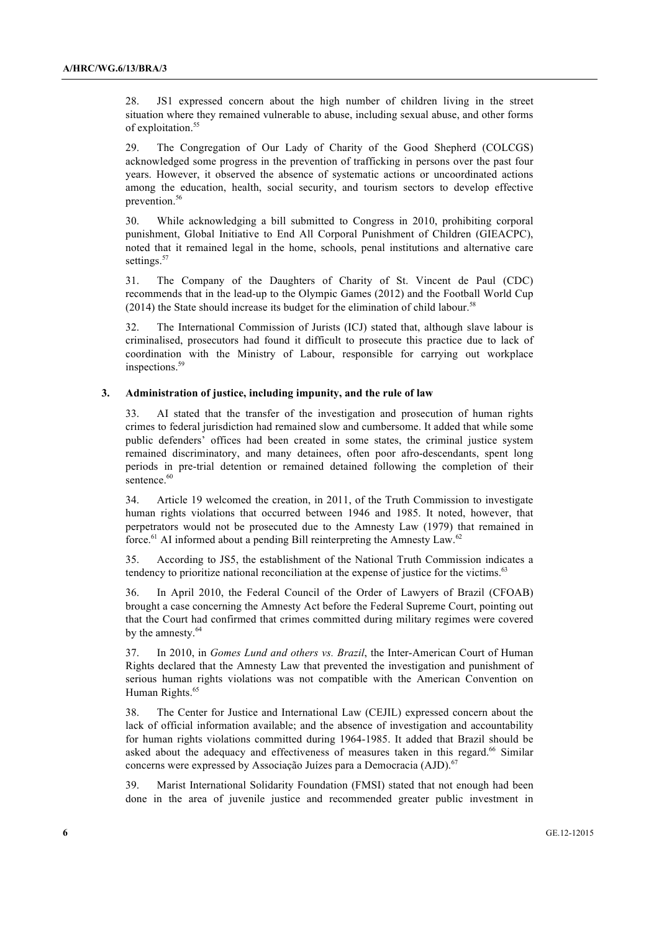28. JS1 expressed concern about the high number of children living in the street situation where they remained vulnerable to abuse, including sexual abuse, and other forms of exploitation.<sup>55</sup>

29. The Congregation of Our Lady of Charity of the Good Shepherd (COLCGS) acknowledged some progress in the prevention of trafficking in persons over the past four years. However, it observed the absence of systematic actions or uncoordinated actions among the education, health, social security, and tourism sectors to develop effective prevention.<sup>56</sup>

30. While acknowledging a bill submitted to Congress in 2010, prohibiting corporal punishment, Global Initiative to End All Corporal Punishment of Children (GIEACPC), noted that it remained legal in the home, schools, penal institutions and alternative care settings.<sup>57</sup>

31. The Company of the Daughters of Charity of St. Vincent de Paul (CDC) recommends that in the lead-up to the Olympic Games (2012) and the Football World Cup (2014) the State should increase its budget for the elimination of child labour.<sup>58</sup>

32. The International Commission of Jurists (ICJ) stated that, although slave labour is criminalised, prosecutors had found it difficult to prosecute this practice due to lack of coordination with the Ministry of Labour, responsible for carrying out workplace inspections.<sup>5</sup>

### **3. Administration of justice, including impunity, and the rule of law**

33. AI stated that the transfer of the investigation and prosecution of human rights crimes to federal jurisdiction had remained slow and cumbersome. It added that while some public defenders' offices had been created in some states, the criminal justice system remained discriminatory, and many detainees, often poor afro-descendants, spent long periods in pre-trial detention or remained detained following the completion of their sentence.<sup>60</sup>

34. Article 19 welcomed the creation, in 2011, of the Truth Commission to investigate human rights violations that occurred between 1946 and 1985. It noted, however, that perpetrators would not be prosecuted due to the Amnesty Law (1979) that remained in force.<sup>61</sup> AI informed about a pending Bill reinterpreting the Amnesty Law.<sup>62</sup>

35. According to JS5, the establishment of the National Truth Commission indicates a tendency to prioritize national reconciliation at the expense of justice for the victims.<sup>63</sup>

36. In April 2010, the Federal Council of the Order of Lawyers of Brazil (CFOAB) brought a case concerning the Amnesty Act before the Federal Supreme Court, pointing out that the Court had confirmed that crimes committed during military regimes were covered by the amnesty.<sup>64</sup>

37. In 2010, in *Gomes Lund and others vs. Brazil*, the Inter-American Court of Human Rights declared that the Amnesty Law that prevented the investigation and punishment of serious human rights violations was not compatible with the American Convention on Human Rights.<sup>65</sup>

38. The Center for Justice and International Law (CEJIL) expressed concern about the lack of official information available; and the absence of investigation and accountability for human rights violations committed during 1964-1985. It added that Brazil should be asked about the adequacy and effectiveness of measures taken in this regard.<sup>66</sup> Similar concerns were expressed by Associação Juízes para a Democracia (AJD).<sup>6</sup>

39. Marist International Solidarity Foundation (FMSI) stated that not enough had been done in the area of juvenile justice and recommended greater public investment in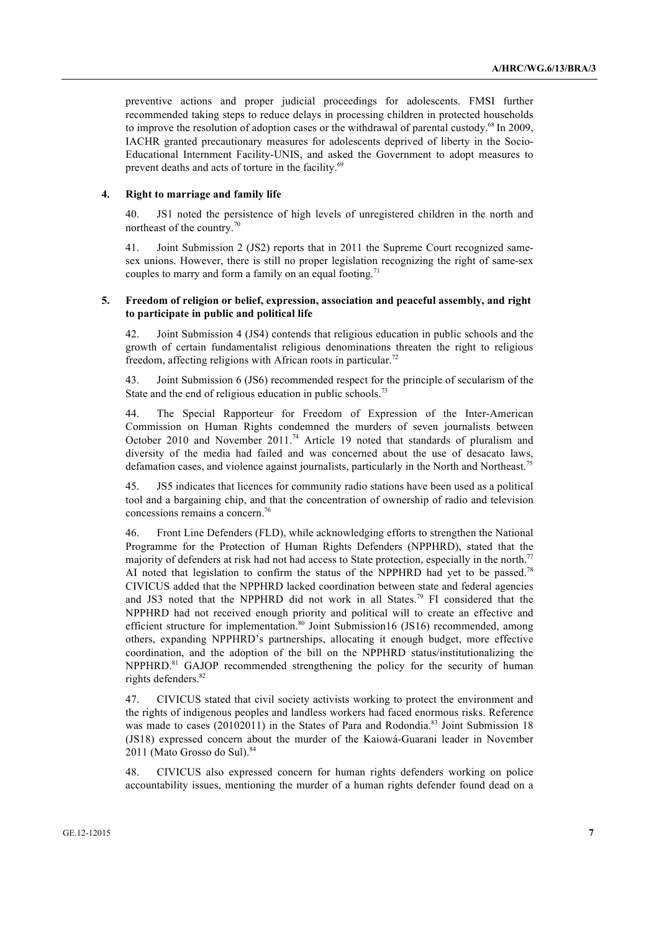preventive actions and proper judicial proceedings for adolescents. FMSI further recommended taking steps to reduce delays in processing children in protected households to improve the resolution of adoption cases or the withdrawal of parental custody.<sup>68</sup> In 2009, IACHR granted precautionary measures for adolescents deprived of liberty in the Socio-Educational Internment Facility-UNIS, and asked the Government to adopt measures to prevent deaths and acts of torture in the facility.<sup>69</sup>

## **4. Right to marriage and family life**

40. JS1 noted the persistence of high levels of unregistered children in the north and northeast of the country.<sup>70</sup>

41. Joint Submission 2 (JS2) reports that in 2011 the Supreme Court recognized samesex unions. However, there is still no proper legislation recognizing the right of same-sex couples to marry and form a family on an equal footing.<sup>71</sup>

### **5. Freedom of religion or belief, expression, association and peaceful assembly, and right to participate in public and political life**

42. Joint Submission 4 (JS4) contends that religious education in public schools and the growth of certain fundamentalist religious denominations threaten the right to religious freedom, affecting religions with African roots in particular.<sup>72</sup>

43. Joint Submission 6 (JS6) recommended respect for the principle of secularism of the State and the end of religious education in public schools.<sup>73</sup>

44. The Special Rapporteur for Freedom of Expression of the Inter-American Commission on Human Rights condemned the murders of seven journalists between October 2010 and November 2011.<sup>74</sup> Article 19 noted that standards of pluralism and diversity of the media had failed and was concerned about the use of desacato laws, defamation cases, and violence against journalists, particularly in the North and Northeast.<sup>75</sup>

45. JS5 indicates that licences for community radio stations have been used as a political tool and a bargaining chip, and that the concentration of ownership of radio and television concessions remains a concern.<sup>76</sup>

46. Front Line Defenders (FLD), while acknowledging efforts to strengthen the National Programme for the Protection of Human Rights Defenders (NPPHRD), stated that the majority of defenders at risk had not had access to State protection, especially in the north.<sup>77</sup> AI noted that legislation to confirm the status of the NPPHRD had yet to be passed.<sup>78</sup> CIVICUS added that the NPPHRD lacked coordination between state and federal agencies and JS3 noted that the NPPHRD did not work in all States.79 FI considered that the NPPHRD had not received enough priority and political will to create an effective and efficient structure for implementation.<sup>80</sup> Joint Submission16 (JS16) recommended, among others, expanding NPPHRD's partnerships, allocating it enough budget, more effective coordination, and the adoption of the bill on the NPPHRD status/institutionalizing the NPPHRD.<sup>81</sup> GAJOP recommended strengthening the policy for the security of human rights defenders.<sup>82</sup>

47. CIVICUS stated that civil society activists working to protect the environment and the rights of indigenous peoples and landless workers had faced enormous risks. Reference was made to cases (20102011) in the States of Para and Rodondia.<sup>83</sup> Joint Submission 18 (JS18) expressed concern about the murder of the Kaiowá-Guarani leader in November 2011 (Mato Grosso do Sul).<sup>84</sup>

48. CIVICUS also expressed concern for human rights defenders working on police accountability issues, mentioning the murder of a human rights defender found dead on a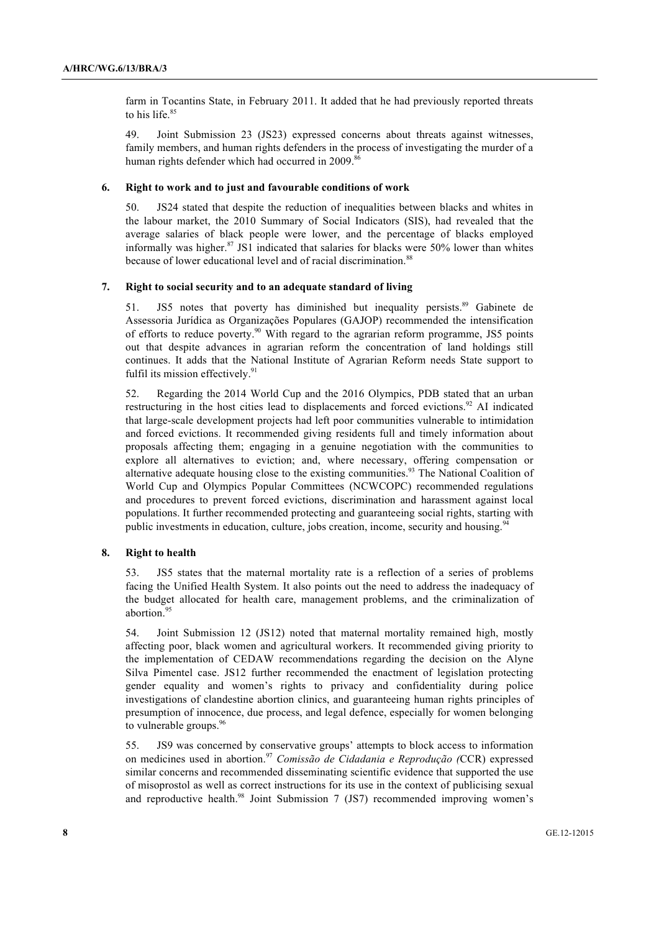farm in Tocantins State, in February 2011. It added that he had previously reported threats to his life.<sup>85</sup>

49. Joint Submission 23 (JS23) expressed concerns about threats against witnesses, family members, and human rights defenders in the process of investigating the murder of a human rights defender which had occurred in 2009.<sup>86</sup>

#### **6. Right to work and to just and favourable conditions of work**

50. JS24 stated that despite the reduction of inequalities between blacks and whites in the labour market, the 2010 Summary of Social Indicators (SIS), had revealed that the average salaries of black people were lower, and the percentage of blacks employed informally was higher.<sup>87</sup> JS1 indicated that salaries for blacks were 50% lower than whites because of lower educational level and of racial discrimination.<sup>88</sup>

#### **7. Right to social security and to an adequate standard of living**

51. JS5 notes that poverty has diminished but inequality persists.<sup>89</sup> Gabinete de Assessoria Jurídica as Organizações Populares (GAJOP) recommended the intensification of efforts to reduce poverty.<sup>90</sup> With regard to the agrarian reform programme, JS5 points out that despite advances in agrarian reform the concentration of land holdings still continues. It adds that the National Institute of Agrarian Reform needs State support to fulfil its mission effectively.<sup>91</sup>

52. Regarding the 2014 World Cup and the 2016 Olympics, PDB stated that an urban restructuring in the host cities lead to displacements and forced evictions.<sup>92</sup> AI indicated that large-scale development projects had left poor communities vulnerable to intimidation and forced evictions. It recommended giving residents full and timely information about proposals affecting them; engaging in a genuine negotiation with the communities to explore all alternatives to eviction; and, where necessary, offering compensation or alternative adequate housing close to the existing communities.<sup>93</sup> The National Coalition of World Cup and Olympics Popular Committees (NCWCOPC) recommended regulations and procedures to prevent forced evictions, discrimination and harassment against local populations. It further recommended protecting and guaranteeing social rights, starting with public investments in education, culture, jobs creation, income, security and housing.<sup>9</sup>

#### **8. Right to health**

53. JS5 states that the maternal mortality rate is a reflection of a series of problems facing the Unified Health System. It also points out the need to address the inadequacy of the budget allocated for health care, management problems, and the criminalization of abortion.<sup>95</sup>

54. Joint Submission 12 (JS12) noted that maternal mortality remained high, mostly affecting poor, black women and agricultural workers. It recommended giving priority to the implementation of CEDAW recommendations regarding the decision on the Alyne Silva Pimentel case. JS12 further recommended the enactment of legislation protecting gender equality and women's rights to privacy and confidentiality during police investigations of clandestine abortion clinics, and guaranteeing human rights principles of presumption of innocence, due process, and legal defence, especially for women belonging to vulnerable groups.<sup>96</sup>

55. JS9 was concerned by conservative groups' attempts to block access to information on medicines used in abortion.<sup>97</sup> *Comissão de Cidadania e Reprodução (*CCR) expressed similar concerns and recommended disseminating scientific evidence that supported the use of misoprostol as well as correct instructions for its use in the context of publicising sexual and reproductive health.<sup>98</sup> Joint Submission 7 (JS7) recommended improving women's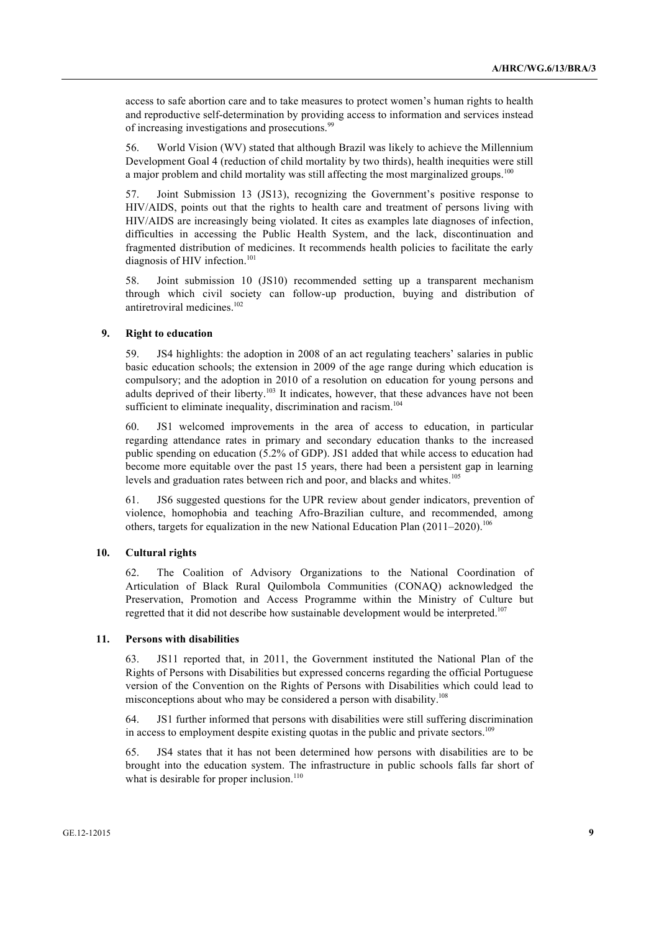access to safe abortion care and to take measures to protect women's human rights to health and reproductive self-determination by providing access to information and services instead of increasing investigations and prosecutions.<sup>99</sup>

56. World Vision (WV) stated that although Brazil was likely to achieve the Millennium Development Goal 4 (reduction of child mortality by two thirds), health inequities were still a major problem and child mortality was still affecting the most marginalized groups.<sup>100</sup>

57. Joint Submission 13 (JS13), recognizing the Government's positive response to HIV/AIDS, points out that the rights to health care and treatment of persons living with HIV/AIDS are increasingly being violated. It cites as examples late diagnoses of infection, difficulties in accessing the Public Health System, and the lack, discontinuation and fragmented distribution of medicines. It recommends health policies to facilitate the early diagnosis of HIV infection.<sup>101</sup>

58. Joint submission 10 (JS10) recommended setting up a transparent mechanism through which civil society can follow-up production, buying and distribution of antiretroviral medicines.<sup>102</sup>

### **9. Right to education**

59. JS4 highlights: the adoption in 2008 of an act regulating teachers' salaries in public basic education schools; the extension in 2009 of the age range during which education is compulsory; and the adoption in 2010 of a resolution on education for young persons and adults deprived of their liberty.<sup>103</sup> It indicates, however, that these advances have not been sufficient to eliminate inequality, discrimination and racism.<sup>104</sup>

60. JS1 welcomed improvements in the area of access to education, in particular regarding attendance rates in primary and secondary education thanks to the increased public spending on education (5.2% of GDP). JS1 added that while access to education had become more equitable over the past 15 years, there had been a persistent gap in learning levels and graduation rates between rich and poor, and blacks and whites.<sup>105</sup>

61. JS6 suggested questions for the UPR review about gender indicators, prevention of violence, homophobia and teaching Afro-Brazilian culture, and recommended, among others, targets for equalization in the new National Education Plan (2011–2020).<sup>106</sup>

#### **10. Cultural rights**

62. The Coalition of Advisory Organizations to the National Coordination of Articulation of Black Rural Quilombola Communities (CONAQ) acknowledged the Preservation, Promotion and Access Programme within the Ministry of Culture but regretted that it did not describe how sustainable development would be interpreted.<sup>107</sup>

#### **11. Persons with disabilities**

63. JS11 reported that, in 2011, the Government instituted the National Plan of the Rights of Persons with Disabilities but expressed concerns regarding the official Portuguese version of the Convention on the Rights of Persons with Disabilities which could lead to misconceptions about who may be considered a person with disability.108

64. JS1 further informed that persons with disabilities were still suffering discrimination in access to employment despite existing quotas in the public and private sectors.<sup>109</sup>

65. JS4 states that it has not been determined how persons with disabilities are to be brought into the education system. The infrastructure in public schools falls far short of what is desirable for proper inclusion. $110$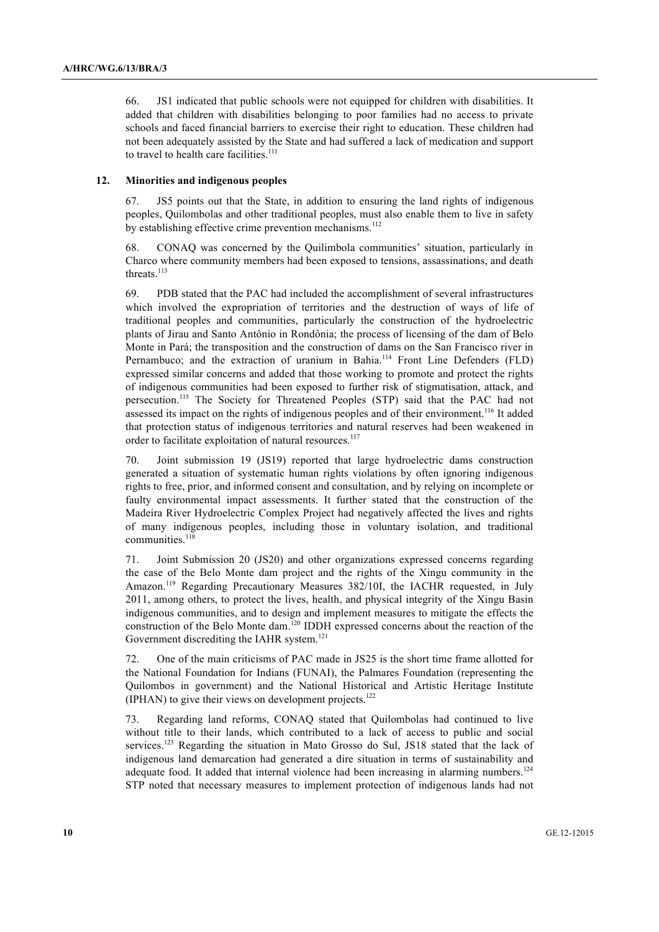66. JS1 indicated that public schools were not equipped for children with disabilities. It added that children with disabilities belonging to poor families had no access to private schools and faced financial barriers to exercise their right to education. These children had not been adequately assisted by the State and had suffered a lack of medication and support to travel to health care facilities. $111$ 

#### **12. Minorities and indigenous peoples**

67. JS5 points out that the State, in addition to ensuring the land rights of indigenous peoples, Quilombolas and other traditional peoples, must also enable them to live in safety by establishing effective crime prevention mechanisms.<sup>112</sup>

68. CONAQ was concerned by the Quilimbola communities' situation, particularly in Charco where community members had been exposed to tensions, assassinations, and death threats.<sup>113</sup>

69. PDB stated that the PAC had included the accomplishment of several infrastructures which involved the expropriation of territories and the destruction of ways of life of traditional peoples and communities, particularly the construction of the hydroelectric plants of Jirau and Santo Antônio in Rondônia; the process of licensing of the dam of Belo Monte in Pará; the transposition and the construction of dams on the San Francisco river in Pernambuco; and the extraction of uranium in Bahia.<sup>114</sup> Front Line Defenders (FLD) expressed similar concerns and added that those working to promote and protect the rights of indigenous communities had been exposed to further risk of stigmatisation, attack, and persecution.115 The Society for Threatened Peoples (STP) said that the PAC had not assessed its impact on the rights of indigenous peoples and of their environment.<sup>116</sup> It added that protection status of indigenous territories and natural reserves had been weakened in order to facilitate exploitation of natural resources.<sup>117</sup>

70. Joint submission 19 (JS19) reported that large hydroelectric dams construction generated a situation of systematic human rights violations by often ignoring indigenous rights to free, prior, and informed consent and consultation, and by relying on incomplete or faulty environmental impact assessments. It further stated that the construction of the Madeira River Hydroelectric Complex Project had negatively affected the lives and rights of many indigenous peoples, including those in voluntary isolation, and traditional communities.<sup>118</sup>

71. Joint Submission 20 (JS20) and other organizations expressed concerns regarding the case of the Belo Monte dam project and the rights of the Xingu community in the Amazon.119 Regarding Precautionary Measures 382/10I, the IACHR requested, in July 2011, among others, to protect the lives, health, and physical integrity of the Xingu Basin indigenous communities, and to design and implement measures to mitigate the effects the construction of the Belo Monte dam.120 IDDH expressed concerns about the reaction of the Government discrediting the IAHR system.<sup>121</sup>

72. One of the main criticisms of PAC made in JS25 is the short time frame allotted for the National Foundation for Indians (FUNAI), the Palmares Foundation (representing the Quilombos in government) and the National Historical and Artistic Heritage Institute (IPHAN) to give their views on development projects. $122$ 

73. Regarding land reforms, CONAQ stated that Quilombolas had continued to live without title to their lands, which contributed to a lack of access to public and social services.<sup>123</sup> Regarding the situation in Mato Grosso do Sul, JS18 stated that the lack of indigenous land demarcation had generated a dire situation in terms of sustainability and adequate food. It added that internal violence had been increasing in alarming numbers.<sup>124</sup> STP noted that necessary measures to implement protection of indigenous lands had not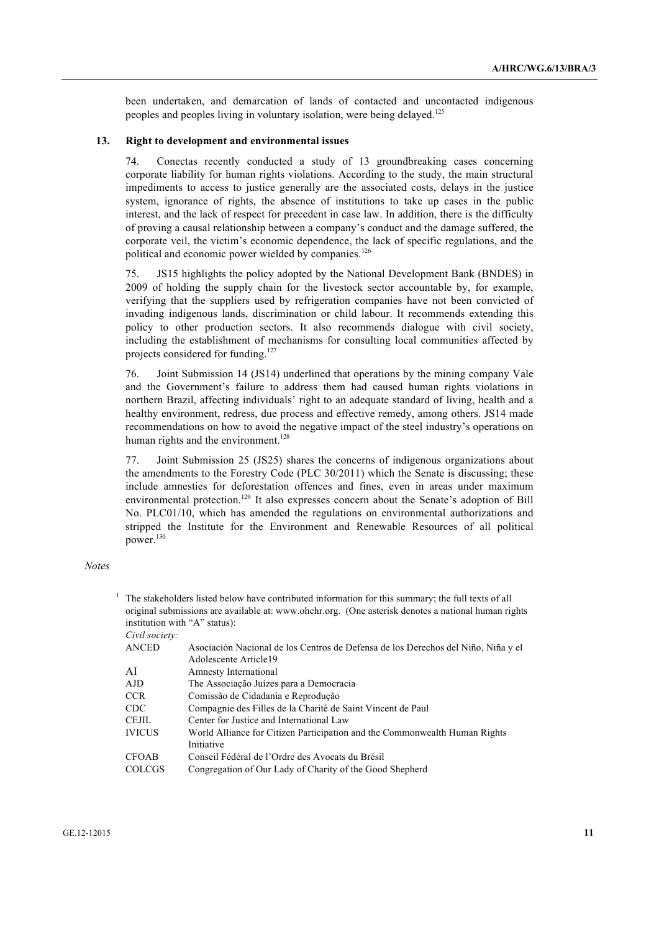been undertaken, and demarcation of lands of contacted and uncontacted indigenous peoples and peoples living in voluntary isolation, were being delayed.125

### **13. Right to development and environmental issues**

74. Conectas recently conducted a study of 13 groundbreaking cases concerning corporate liability for human rights violations. According to the study, the main structural impediments to access to justice generally are the associated costs, delays in the justice system, ignorance of rights, the absence of institutions to take up cases in the public interest, and the lack of respect for precedent in case law. In addition, there is the difficulty of proving a causal relationship between a company's conduct and the damage suffered, the corporate veil, the victim's economic dependence, the lack of specific regulations, and the political and economic power wielded by companies.<sup>126</sup>

75. JS15 highlights the policy adopted by the National Development Bank (BNDES) in 2009 of holding the supply chain for the livestock sector accountable by, for example, verifying that the suppliers used by refrigeration companies have not been convicted of invading indigenous lands, discrimination or child labour. It recommends extending this policy to other production sectors. It also recommends dialogue with civil society, including the establishment of mechanisms for consulting local communities affected by projects considered for funding.<sup>127</sup>

76. Joint Submission 14 (JS14) underlined that operations by the mining company Vale and the Government's failure to address them had caused human rights violations in northern Brazil, affecting individuals' right to an adequate standard of living, health and a healthy environment, redress, due process and effective remedy, among others. JS14 made recommendations on how to avoid the negative impact of the steel industry's operations on human rights and the environment.<sup>128</sup>

77. Joint Submission 25 (JS25) shares the concerns of indigenous organizations about the amendments to the Forestry Code (PLC 30/2011) which the Senate is discussing; these include amnesties for deforestation offences and fines, even in areas under maximum environmental protection.<sup>129</sup> It also expresses concern about the Senate's adoption of Bill No. PLC01/10, which has amended the regulations on environmental authorizations and stripped the Institute for the Environment and Renewable Resources of all political power.<sup>130</sup>

#### *Notes*

|                               |                | The stakeholders listed below have contributed information for this summary; the full texts of all<br>original submissions are available at: www.ohchr.org. (One asterisk denotes a national human rights |  |  |
|-------------------------------|----------------|-----------------------------------------------------------------------------------------------------------------------------------------------------------------------------------------------------------|--|--|
| institution with "A" status): |                |                                                                                                                                                                                                           |  |  |
|                               | Civil society: |                                                                                                                                                                                                           |  |  |
|                               | <b>ANCED</b>   | Asociación Nacional de los Centros de Defensa de los Derechos del Niño, Niña y el                                                                                                                         |  |  |
|                               |                | Adolescente Article19                                                                                                                                                                                     |  |  |
|                               | AI             | Amnesty International                                                                                                                                                                                     |  |  |
|                               | AJD            | The Associação Juízes para a Democracia                                                                                                                                                                   |  |  |
|                               | <b>CCR</b>     | Comissão de Cidadania e Reprodução                                                                                                                                                                        |  |  |
|                               | CDC.           | Compagnie des Filles de la Charité de Saint Vincent de Paul                                                                                                                                               |  |  |
|                               | CEJIL.         | Center for Justice and International Law                                                                                                                                                                  |  |  |
|                               | <b>IVICUS</b>  | World Alliance for Citizen Participation and the Commonwealth Human Rights                                                                                                                                |  |  |
|                               |                | Initiative                                                                                                                                                                                                |  |  |
|                               | <b>CFOAB</b>   | Conseil Fédéral de l'Ordre des Avocats du Brésil                                                                                                                                                          |  |  |
|                               | <b>COLCGS</b>  | Congregation of Our Lady of Charity of the Good Shepherd                                                                                                                                                  |  |  |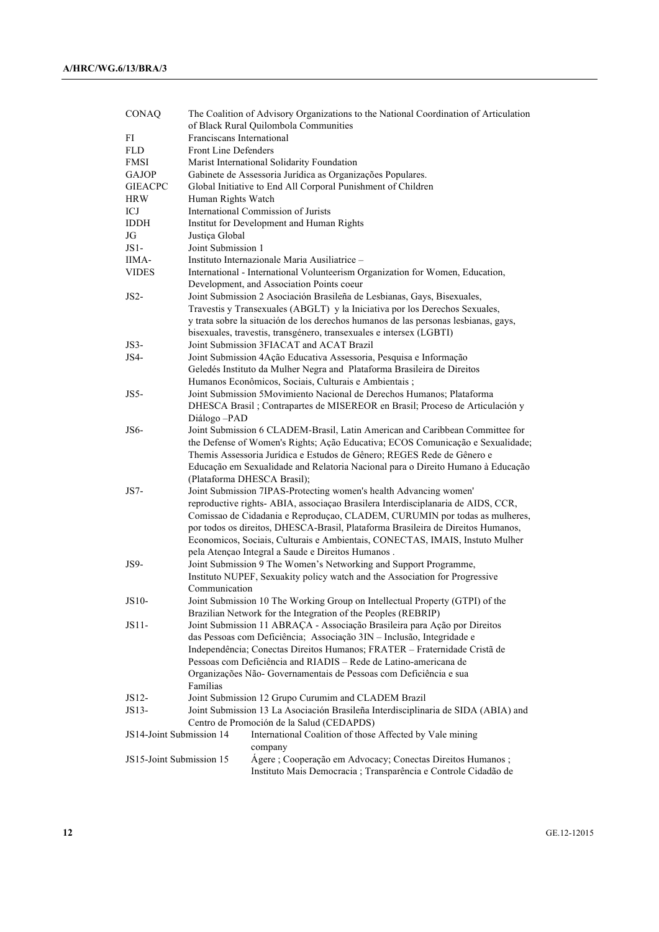| CONAQ                    | The Coalition of Advisory Organizations to the National Coordination of Articulation<br>of Black Rural Quilombola Communities |                                                                                     |  |  |  |
|--------------------------|-------------------------------------------------------------------------------------------------------------------------------|-------------------------------------------------------------------------------------|--|--|--|
| FI                       | Franciscans International                                                                                                     |                                                                                     |  |  |  |
| <b>FLD</b>               | <b>Front Line Defenders</b>                                                                                                   |                                                                                     |  |  |  |
| <b>FMSI</b>              |                                                                                                                               | Marist International Solidarity Foundation                                          |  |  |  |
| <b>GAJOP</b>             |                                                                                                                               | Gabinete de Assessoria Jurídica as Organizações Populares.                          |  |  |  |
| <b>GIEACPC</b>           |                                                                                                                               | Global Initiative to End All Corporal Punishment of Children                        |  |  |  |
| <b>HRW</b>               | Human Rights Watch                                                                                                            |                                                                                     |  |  |  |
| ICJ                      |                                                                                                                               | International Commission of Jurists                                                 |  |  |  |
| <b>IDDH</b>              |                                                                                                                               | Institut for Development and Human Rights                                           |  |  |  |
| JG                       |                                                                                                                               |                                                                                     |  |  |  |
| $JS1-$                   | Justiça Global<br>Joint Submission 1                                                                                          |                                                                                     |  |  |  |
|                          |                                                                                                                               |                                                                                     |  |  |  |
| IIMA-                    |                                                                                                                               | Instituto Internazionale Maria Ausiliatrice -                                       |  |  |  |
| <b>VIDES</b>             |                                                                                                                               | International - International Volunteerism Organization for Women, Education,       |  |  |  |
|                          |                                                                                                                               | Development, and Association Points coeur                                           |  |  |  |
| $JS2-$                   |                                                                                                                               | Joint Submission 2 Asociación Brasileña de Lesbianas, Gays, Bisexuales,             |  |  |  |
|                          | Travestis y Transexuales (ABGLT) y la Iniciativa por los Derechos Sexuales,                                                   |                                                                                     |  |  |  |
|                          |                                                                                                                               | y trata sobre la situación de los derechos humanos de las personas lesbianas, gays, |  |  |  |
|                          |                                                                                                                               | bisexuales, travestis, transgénero, transexuales e intersex (LGBTI)                 |  |  |  |
| $JS3-$                   |                                                                                                                               | Joint Submission 3FIACAT and ACAT Brazil                                            |  |  |  |
| JS4-                     |                                                                                                                               | Joint Submission 4Ação Educativa Assessoria, Pesquisa e Informação                  |  |  |  |
|                          |                                                                                                                               | Geledés Instituto da Mulher Negra and Plataforma Brasileira de Direitos             |  |  |  |
|                          |                                                                                                                               | Humanos Econômicos, Sociais, Culturais e Ambientais;                                |  |  |  |
| JS5-                     |                                                                                                                               | Joint Submission 5Movimiento Nacional de Derechos Humanos; Plataforma               |  |  |  |
|                          |                                                                                                                               | DHESCA Brasil; Contrapartes de MISEREOR en Brasil; Proceso de Articulación y        |  |  |  |
|                          | Diálogo-PAD                                                                                                                   |                                                                                     |  |  |  |
| JS6-                     |                                                                                                                               | Joint Submission 6 CLADEM-Brasil, Latin American and Caribbean Committee for        |  |  |  |
|                          |                                                                                                                               | the Defense of Women's Rights; Ação Educativa; ECOS Comunicação e Sexualidade;      |  |  |  |
|                          |                                                                                                                               | Themis Assessoria Jurídica e Estudos de Gênero; REGES Rede de Gênero e              |  |  |  |
|                          |                                                                                                                               | Educação em Sexualidade and Relatoria Nacional para o Direito Humano à Educação     |  |  |  |
|                          |                                                                                                                               | (Plataforma DHESCA Brasil);                                                         |  |  |  |
| $JS7-$                   |                                                                                                                               | Joint Submission 7IPAS-Protecting women's health Advancing women'                   |  |  |  |
|                          | reproductive rights- ABIA, associação Brasilera Interdisciplanaria de AIDS, CCR,                                              |                                                                                     |  |  |  |
|                          |                                                                                                                               | Comissao de Cidadania e Reprodução, CLADEM, CURUMIN por todas as mulheres,          |  |  |  |
|                          | por todos os direitos, DHESCA-Brasil, Plataforma Brasileira de Direitos Humanos,                                              |                                                                                     |  |  |  |
|                          | Economicos, Sociais, Culturais e Ambientais, CONECTAS, IMAIS, Instuto Mulher                                                  |                                                                                     |  |  |  |
|                          |                                                                                                                               | pela Atençao Integral a Saude e Direitos Humanos.                                   |  |  |  |
| <b>JS9-</b>              |                                                                                                                               | Joint Submission 9 The Women's Networking and Support Programme,                    |  |  |  |
|                          | Instituto NUPEF, Sexuakity policy watch and the Association for Progressive                                                   |                                                                                     |  |  |  |
|                          | Communication                                                                                                                 |                                                                                     |  |  |  |
| JS10-                    |                                                                                                                               | Joint Submission 10 The Working Group on Intellectual Property (GTPI) of the        |  |  |  |
|                          |                                                                                                                               | Brazilian Network for the Integration of the Peoples (REBRIP)                       |  |  |  |
| JS11-                    |                                                                                                                               | Joint Submission 11 ABRAÇA - Associação Brasileira para Ação por Direitos           |  |  |  |
|                          |                                                                                                                               | das Pessoas com Deficiência; Associação 3IN - Inclusão, Integridade e               |  |  |  |
|                          |                                                                                                                               | Independência; Conectas Direitos Humanos; FRATER - Fraternidade Cristã de           |  |  |  |
|                          |                                                                                                                               | Pessoas com Deficiência and RIADIS – Rede de Latino-americana de                    |  |  |  |
|                          |                                                                                                                               |                                                                                     |  |  |  |
|                          |                                                                                                                               | Organizações Não- Governamentais de Pessoas com Deficiência e sua                   |  |  |  |
|                          | Famílias                                                                                                                      |                                                                                     |  |  |  |
| $JS12-$                  |                                                                                                                               | Joint Submission 12 Grupo Curumim and CLADEM Brazil                                 |  |  |  |
| JS13-                    |                                                                                                                               | Joint Submission 13 La Asociación Brasileña Interdisciplinaria de SIDA (ABIA) and   |  |  |  |
|                          |                                                                                                                               | Centro de Promoción de la Salud (CEDAPDS)                                           |  |  |  |
| JS14-Joint Submission 14 |                                                                                                                               | International Coalition of those Affected by Vale mining                            |  |  |  |
|                          |                                                                                                                               | company                                                                             |  |  |  |
| JS15-Joint Submission 15 |                                                                                                                               | Ágere ; Cooperação em Advocacy; Conectas Direitos Humanos ;                         |  |  |  |
|                          |                                                                                                                               | Instituto Mais Democracia ; Transparência e Controle Cidadão de                     |  |  |  |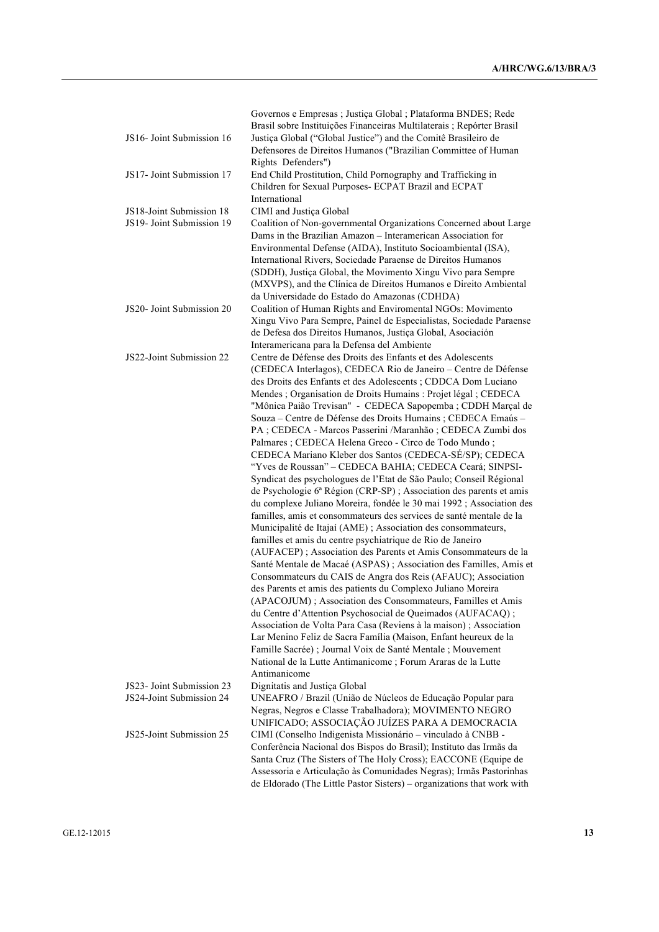|                           | Governos e Empresas ; Justiça Global ; Plataforma BNDES; Rede                                                                     |
|---------------------------|-----------------------------------------------------------------------------------------------------------------------------------|
|                           | Brasil sobre Instituições Financeiras Multilaterais; Repórter Brasil                                                              |
| JS16- Joint Submission 16 | Justiça Global ("Global Justice") and the Comitê Brasileiro de                                                                    |
|                           | Defensores de Direitos Humanos ("Brazilian Committee of Human                                                                     |
|                           | Rights Defenders")                                                                                                                |
| JS17- Joint Submission 17 | End Child Prostitution, Child Pornography and Trafficking in                                                                      |
|                           | Children for Sexual Purposes- ECPAT Brazil and ECPAT                                                                              |
|                           | International                                                                                                                     |
| JS18-Joint Submission 18  | CIMI and Justiça Global                                                                                                           |
| JS19- Joint Submission 19 | Coalition of Non-governmental Organizations Concerned about Large                                                                 |
|                           | Dams in the Brazilian Amazon - Interamerican Association for                                                                      |
|                           | Environmental Defense (AIDA), Instituto Socioambiental (ISA),                                                                     |
|                           | International Rivers, Sociedade Paraense de Direitos Humanos                                                                      |
|                           | (SDDH), Justiça Global, the Movimento Xingu Vivo para Sempre                                                                      |
|                           | (MXVPS), and the Clínica de Direitos Humanos e Direito Ambiental                                                                  |
|                           | da Universidade do Estado do Amazonas (CDHDA)                                                                                     |
| JS20- Joint Submission 20 | Coalition of Human Rights and Enviromental NGOs: Movimento                                                                        |
|                           | Xingu Vivo Para Sempre, Painel de Especialistas, Sociedade Paraense<br>de Defesa dos Direitos Humanos, Justiça Global, Asociación |
|                           |                                                                                                                                   |
| JS22-Joint Submission 22  | Interamericana para la Defensa del Ambiente<br>Centre de Défense des Droits des Enfants et des Adolescents                        |
|                           | (CEDECA Interlagos), CEDECA Rio de Janeiro - Centre de Défense                                                                    |
|                           | des Droits des Enfants et des Adolescents ; CDDCA Dom Luciano                                                                     |
|                           | Mendes ; Organisation de Droits Humains : Projet légal ; CEDECA                                                                   |
|                           | "Mônica Paião Trevisan" - CEDECA Sapopemba ; CDDH Marçal de                                                                       |
|                           | Souza - Centre de Défense des Droits Humains ; CEDECA Emaús -                                                                     |
|                           | PA; CEDECA - Marcos Passerini / Maranhão; CEDECA Zumbi dos                                                                        |
|                           | Palmares ; CEDECA Helena Greco - Circo de Todo Mundo ;                                                                            |
|                           | CEDECA Mariano Kleber dos Santos (CEDECA-SÉ/SP); CEDECA                                                                           |
|                           | "Yves de Roussan" - CEDECA BAHIA; CEDECA Ceará; SINPSI-                                                                           |
|                           | Syndicat des psychologues de l'Etat de São Paulo; Conseil Régional                                                                |
|                           | de Psychologie 6ª Région (CRP-SP) ; Association des parents et amis                                                               |
|                           | du complexe Juliano Moreira, fondée le 30 mai 1992 ; Association des                                                              |
|                           | familles, amis et consommateurs des services de santé mentale de la                                                               |
|                           | Municipalité de Itajaí (AME); Association des consommateurs,                                                                      |
|                           | familles et amis du centre psychiatrique de Rio de Janeiro                                                                        |
|                           | (AUFACEP); Association des Parents et Amis Consommateurs de la                                                                    |
|                           | Santé Mentale de Macaé (ASPAS) ; Association des Familles, Amis et                                                                |
|                           | Consommateurs du CAIS de Angra dos Reis (AFAUC); Association                                                                      |
|                           | des Parents et amis des patients du Complexo Juliano Moreira                                                                      |
|                           | (APACOJUM); Association des Consommateurs, Familles et Amis                                                                       |
|                           | du Centre d'Attention Psychosocial de Queimados (AUFACAQ);                                                                        |
|                           | Association de Volta Para Casa (Reviens à la maison); Association                                                                 |
|                           | Lar Menino Feliz de Sacra Família (Maison, Enfant heureux de la                                                                   |
|                           | Famille Sacrée) ; Journal Voix de Santé Mentale ; Mouvement                                                                       |
|                           | National de la Lutte Antimanicome ; Forum Araras de la Lutte                                                                      |
|                           | Antimanicome                                                                                                                      |
| JS23- Joint Submission 23 | Dignitatis and Justiça Global                                                                                                     |
| JS24-Joint Submission 24  | UNEAFRO / Brazil (União de Núcleos de Educação Popular para                                                                       |
|                           | Negras, Negros e Classe Trabalhadora); MOVIMENTO NEGRO                                                                            |
| JS25-Joint Submission 25  | UNIFICADO; ASSOCIAÇÃO JUÍZES PARA A DEMOCRACIA                                                                                    |
|                           | CIMI (Conselho Indigenista Missionário - vinculado à CNBB -<br>Conferência Nacional dos Bispos do Brasil); Instituto das Irmãs da |
|                           | Santa Cruz (The Sisters of The Holy Cross); EACCONE (Equipe de                                                                    |
|                           | Assessoria e Articulação às Comunidades Negras); Irmãs Pastorinhas                                                                |
|                           | de Eldorado (The Little Pastor Sisters) - organizations that work with                                                            |
|                           |                                                                                                                                   |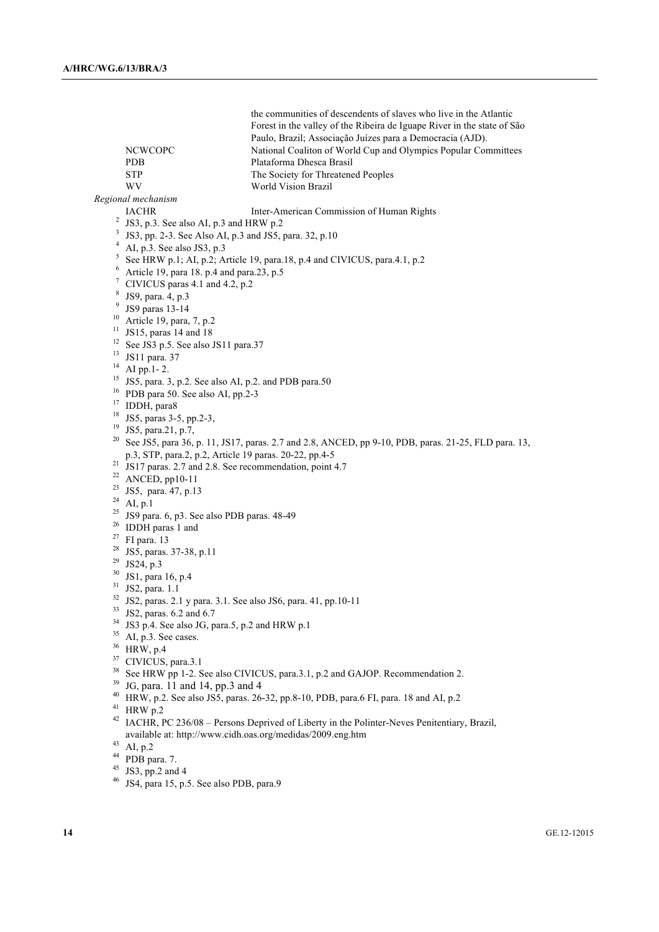|                           | <b>NCWCOPC</b><br>PDB<br><b>STP</b>                                                                                                                      | the communities of descendents of slaves who live in the Atlantic<br>Forest in the valley of the Ribeira de Iguape River in the state of São<br>Paulo, Brazil; Associação Juízes para a Democracia (AJD).<br>National Coaliton of World Cup and Olympics Popular Committees<br>Plataforma Dhesca Brasil<br>The Society for Threatened Peoples |  |  |  |
|---------------------------|----------------------------------------------------------------------------------------------------------------------------------------------------------|-----------------------------------------------------------------------------------------------------------------------------------------------------------------------------------------------------------------------------------------------------------------------------------------------------------------------------------------------|--|--|--|
|                           | WV                                                                                                                                                       | World Vision Brazil                                                                                                                                                                                                                                                                                                                           |  |  |  |
|                           | Regional mechanism                                                                                                                                       |                                                                                                                                                                                                                                                                                                                                               |  |  |  |
|                           | <b>IACHR</b>                                                                                                                                             | Inter-American Commission of Human Rights                                                                                                                                                                                                                                                                                                     |  |  |  |
| $\overline{a}$            | JS3, p.3. See also AI, p.3 and HRW p.2                                                                                                                   |                                                                                                                                                                                                                                                                                                                                               |  |  |  |
| 3                         | JS3, pp. 2-3. See Also AI, p.3 and JS5, para. 32, p.10                                                                                                   |                                                                                                                                                                                                                                                                                                                                               |  |  |  |
|                           | AI, p.3. See also JS3, p.3                                                                                                                               |                                                                                                                                                                                                                                                                                                                                               |  |  |  |
| 5                         |                                                                                                                                                          | See HRW p.1; AI, p.2; Article 19, para.18, p.4 and CIVICUS, para.4.1, p.2                                                                                                                                                                                                                                                                     |  |  |  |
| 6                         | Article 19, para 18. p.4 and para.23, p.5                                                                                                                |                                                                                                                                                                                                                                                                                                                                               |  |  |  |
| 7                         | CIVICUS paras 4.1 and 4.2, p.2                                                                                                                           |                                                                                                                                                                                                                                                                                                                                               |  |  |  |
| 8                         | JS9, para. 4, p.3                                                                                                                                        |                                                                                                                                                                                                                                                                                                                                               |  |  |  |
| 9                         | JS9 paras 13-14                                                                                                                                          |                                                                                                                                                                                                                                                                                                                                               |  |  |  |
| 10                        | Article 19, para, 7, p.2                                                                                                                                 |                                                                                                                                                                                                                                                                                                                                               |  |  |  |
| 11                        | JS15, paras 14 and 18                                                                                                                                    |                                                                                                                                                                                                                                                                                                                                               |  |  |  |
| 12                        | See JS3 p.5. See also JS11 para.37                                                                                                                       |                                                                                                                                                                                                                                                                                                                                               |  |  |  |
| 13                        | JS11 para. 37                                                                                                                                            |                                                                                                                                                                                                                                                                                                                                               |  |  |  |
| 14                        | AI pp.1-2.                                                                                                                                               |                                                                                                                                                                                                                                                                                                                                               |  |  |  |
| 15                        | JS5, para. 3, p.2. See also AI, p.2. and PDB para.50                                                                                                     |                                                                                                                                                                                                                                                                                                                                               |  |  |  |
| 16                        | PDB para 50. See also AI, pp.2-3                                                                                                                         |                                                                                                                                                                                                                                                                                                                                               |  |  |  |
| 17                        | IDDH, para8                                                                                                                                              |                                                                                                                                                                                                                                                                                                                                               |  |  |  |
| 18                        | JS5, paras 3-5, pp.2-3,                                                                                                                                  |                                                                                                                                                                                                                                                                                                                                               |  |  |  |
| 19                        | JS5, para.21, p.7,                                                                                                                                       |                                                                                                                                                                                                                                                                                                                                               |  |  |  |
| 20                        |                                                                                                                                                          | See JS5, para 36, p. 11, JS17, paras. 2.7 and 2.8, ANCED, pp 9-10, PDB, paras. 21-25, FLD para. 13,                                                                                                                                                                                                                                           |  |  |  |
|                           | p.3, STP, para.2, p.2, Article 19 paras. 20-22, pp.4-5                                                                                                   |                                                                                                                                                                                                                                                                                                                                               |  |  |  |
| 21                        | JS17 paras. 2.7 and 2.8. See recommendation, point 4.7                                                                                                   |                                                                                                                                                                                                                                                                                                                                               |  |  |  |
| 22                        | ANCED, pp10-11                                                                                                                                           |                                                                                                                                                                                                                                                                                                                                               |  |  |  |
| 23<br>JS5, para. 47, p.13 |                                                                                                                                                          |                                                                                                                                                                                                                                                                                                                                               |  |  |  |
| 24                        | AI, p.1                                                                                                                                                  |                                                                                                                                                                                                                                                                                                                                               |  |  |  |
| 25                        | JS9 para. 6, p3. See also PDB paras. 48-49                                                                                                               |                                                                                                                                                                                                                                                                                                                                               |  |  |  |
| 26                        | IDDH paras 1 and                                                                                                                                         |                                                                                                                                                                                                                                                                                                                                               |  |  |  |
| 27                        | FI para. 13                                                                                                                                              |                                                                                                                                                                                                                                                                                                                                               |  |  |  |
| 28                        | JS5, paras. 37-38, p.11                                                                                                                                  |                                                                                                                                                                                                                                                                                                                                               |  |  |  |
| 29                        | JS24, p.3                                                                                                                                                |                                                                                                                                                                                                                                                                                                                                               |  |  |  |
| 30                        | JS1, para 16, p.4                                                                                                                                        |                                                                                                                                                                                                                                                                                                                                               |  |  |  |
| 31                        | JS2, para. 1.1                                                                                                                                           |                                                                                                                                                                                                                                                                                                                                               |  |  |  |
| 32                        | JS2, paras. 2.1 y para. 3.1. See also JS6, para. 41, pp.10-11                                                                                            |                                                                                                                                                                                                                                                                                                                                               |  |  |  |
| 33                        | JS2, paras. 6.2 and 6.7                                                                                                                                  |                                                                                                                                                                                                                                                                                                                                               |  |  |  |
| 34                        | JS3 p.4. See also JG, para.5, p.2 and HRW p.1                                                                                                            |                                                                                                                                                                                                                                                                                                                                               |  |  |  |
| 35                        | AI, p.3. See cases.                                                                                                                                      |                                                                                                                                                                                                                                                                                                                                               |  |  |  |
| 36                        | HRW, p.4                                                                                                                                                 |                                                                                                                                                                                                                                                                                                                                               |  |  |  |
| 37                        | CIVICUS, para.3.1                                                                                                                                        |                                                                                                                                                                                                                                                                                                                                               |  |  |  |
| 38                        |                                                                                                                                                          |                                                                                                                                                                                                                                                                                                                                               |  |  |  |
| 39                        | See HRW pp 1-2. See also CIVICUS, para.3.1, p.2 and GAJOP. Recommendation 2.<br>JG, para. 11 and 14, pp.3 and 4                                          |                                                                                                                                                                                                                                                                                                                                               |  |  |  |
| 40                        | HRW, p.2. See also JS5, paras. 26-32, pp.8-10, PDB, para.6 FI, para. 18 and AI, p.2                                                                      |                                                                                                                                                                                                                                                                                                                                               |  |  |  |
| 41                        | HRW p.2                                                                                                                                                  |                                                                                                                                                                                                                                                                                                                                               |  |  |  |
| 42                        |                                                                                                                                                          |                                                                                                                                                                                                                                                                                                                                               |  |  |  |
|                           | IACHR, PC 236/08 - Persons Deprived of Liberty in the Polinter-Neves Penitentiary, Brazil,<br>available at: http://www.cidh.oas.org/medidas/2009.eng.htm |                                                                                                                                                                                                                                                                                                                                               |  |  |  |
| 43                        | AI, p.2                                                                                                                                                  |                                                                                                                                                                                                                                                                                                                                               |  |  |  |
| 44                        |                                                                                                                                                          |                                                                                                                                                                                                                                                                                                                                               |  |  |  |
| 45                        | PDB para. 7.<br>JS3, pp.2 and 4                                                                                                                          |                                                                                                                                                                                                                                                                                                                                               |  |  |  |
| 46                        | JS4, para 15, p.5. See also PDB, para.9                                                                                                                  |                                                                                                                                                                                                                                                                                                                                               |  |  |  |
|                           |                                                                                                                                                          |                                                                                                                                                                                                                                                                                                                                               |  |  |  |
|                           |                                                                                                                                                          |                                                                                                                                                                                                                                                                                                                                               |  |  |  |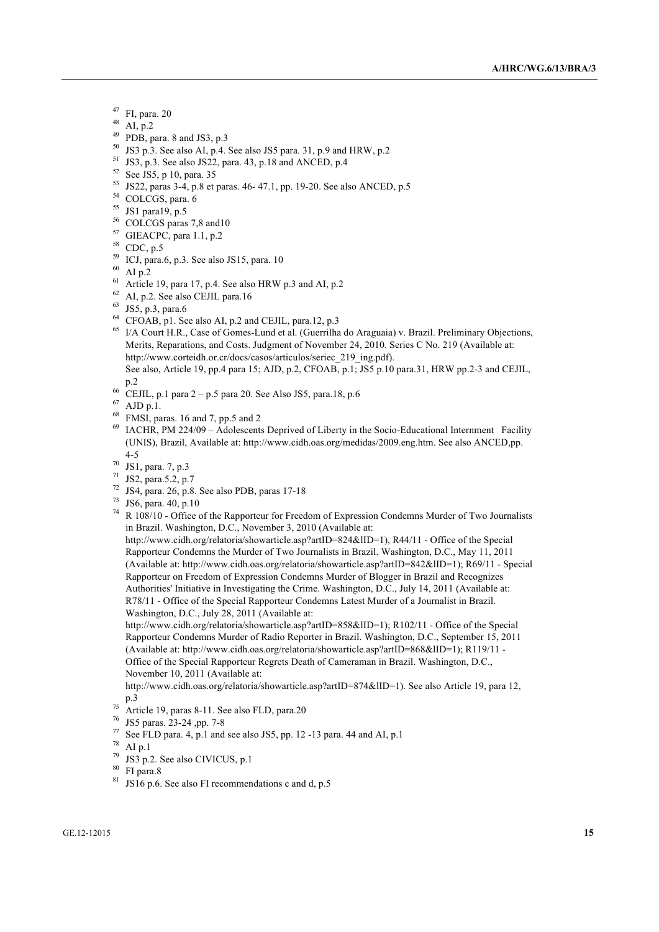- $^{47}$  FI, para. 20
- 
- <sup>48</sup> AI, p.2<br><sup>49</sup> PDB, para. 8 and JS3, p.3
- $50$  JS3 p.3. See also AI, p.4. See also JS5 para. 31, p.9 and HRW, p.2
- <sup>51</sup> JS3, p.3. See also JS22, para. 43, p.18 and ANCED, p.4
- $52 \text{ See JS5, p } 10, \text{ para. } 35$
- <sup>53</sup> JS22, paras 3-4, p.8 et paras. 46- 47.1, pp. 19-20. See also ANCED, p.5<br><sup>54</sup> COLCGS, para. 6
- 
- 
- $^{55}$  JS1 para19, p.5<br> $^{56}$  COLCGS paras 7,8 and 10
- $57$  GIEACPC, para 1.1, p.2<br> $58$  CDC, p.5
- 
- $^{59}$  ICJ, para.6, p.3. See also JS15, para. 10
- $60$  AI p.2
- $61$  Article 19, para 17, p.4. See also HRW p.3 and AI, p.2
- $^{62}$  AI, p.2. See also CEJIL para.16<br> $^{63}$  JS5, p.3, para.6
- 
- $64$  CFOAB, p1. See also AI, p.2 and CEJIL, para.12, p.3
- <sup>65</sup> I/A Court H.R., Case of Gomes-Lund et al. (Guerrilha do Araguaia) v. Brazil. Preliminary Objections, Merits, Reparations, and Costs. Judgment of November 24, 2010. Series C No. 219 (Available at: http://www.corteidh.or.cr/docs/casos/articulos/seriec\_219\_ing.pdf). See also, Article 19, pp.4 para 15; AJD, p.2, CFOAB, p.1; JS5 p.10 para.31, HRW pp.2-3 and CEJIL,
- 
- p.2 66 CEJIL, p.1 para 2 p.5 para 20. See Also JS5, para.18, p.6
- $67$  AJD p.1.
- <sup>68</sup> FMSI, paras. 16 and 7, pp.5 and 2
- $^{69}$  IACHR, PM 224/09 Adolescents Deprived of Liberty in the Socio-Educational Internment Facility (UNIS), Brazil, Available at: http://www.cidh.oas.org/medidas/2009.eng.htm. See also ANCED,pp. 4-5
- 
- $^{70}$  JS1, para. 7, p.3<br> $^{71}$  JS2, para.5.2, p.7
- <sup>72</sup> JS4, para. 26, p.8. See also PDB, paras 17-18
- <sup>73</sup> JS6, para. 40, p.10

<sup>74</sup> R 108/10 - Office of the Rapporteur for Freedom of Expression Condemns Murder of Two Journalists in Brazil. Washington, D.C., November 3, 2010 (Available at:

http://www.cidh.org/relatoria/showarticle.asp?artID=824&lID=1), R44/11 - Office of the Special Rapporteur Condemns the Murder of Two Journalists in Brazil. Washington, D.C., May 11, 2011 (Available at: http://www.cidh.oas.org/relatoria/showarticle.asp?artID=842&lID=1); R69/11 - Special Rapporteur on Freedom of Expression Condemns Murder of Blogger in Brazil and Recognizes Authorities' Initiative in Investigating the Crime. Washington, D.C., July 14, 2011 (Available at: R78/11 - Office of the Special Rapporteur Condemns Latest Murder of a Journalist in Brazil. Washington, D.C., July 28, 2011 (Available at:

http://www.cidh.org/relatoria/showarticle.asp?artID=858&lID=1); R102/11 - Office of the Special Rapporteur Condemns Murder of Radio Reporter in Brazil. Washington, D.C., September 15, 2011 (Available at: http://www.cidh.oas.org/relatoria/showarticle.asp?artID=868&lID=1); R119/11 - Office of the Special Rapporteur Regrets Death of Cameraman in Brazil. Washington, D.C., November 10, 2011 (Available at:

http://www.cidh.oas.org/relatoria/showarticle.asp?artID=874&lID=1). See also Article 19, para 12, p.3

- $\frac{75}{2}$  Article 19, paras 8-11. See also FLD, para.20
- <sup>76</sup> JS5 paras. 23-24 ,pp. 7-8
- $^{77}$  See FLD para. 4, p.1 and see also JS5, pp. 12 -13 para. 44 and AI, p.1
- $^{78}$  AI p.1
- JS3 p.2. See also CIVICUS, p.1
- <sup>80</sup> FI para.8
- $81$  JS16 p.6. See also FI recommendations c and d, p.5